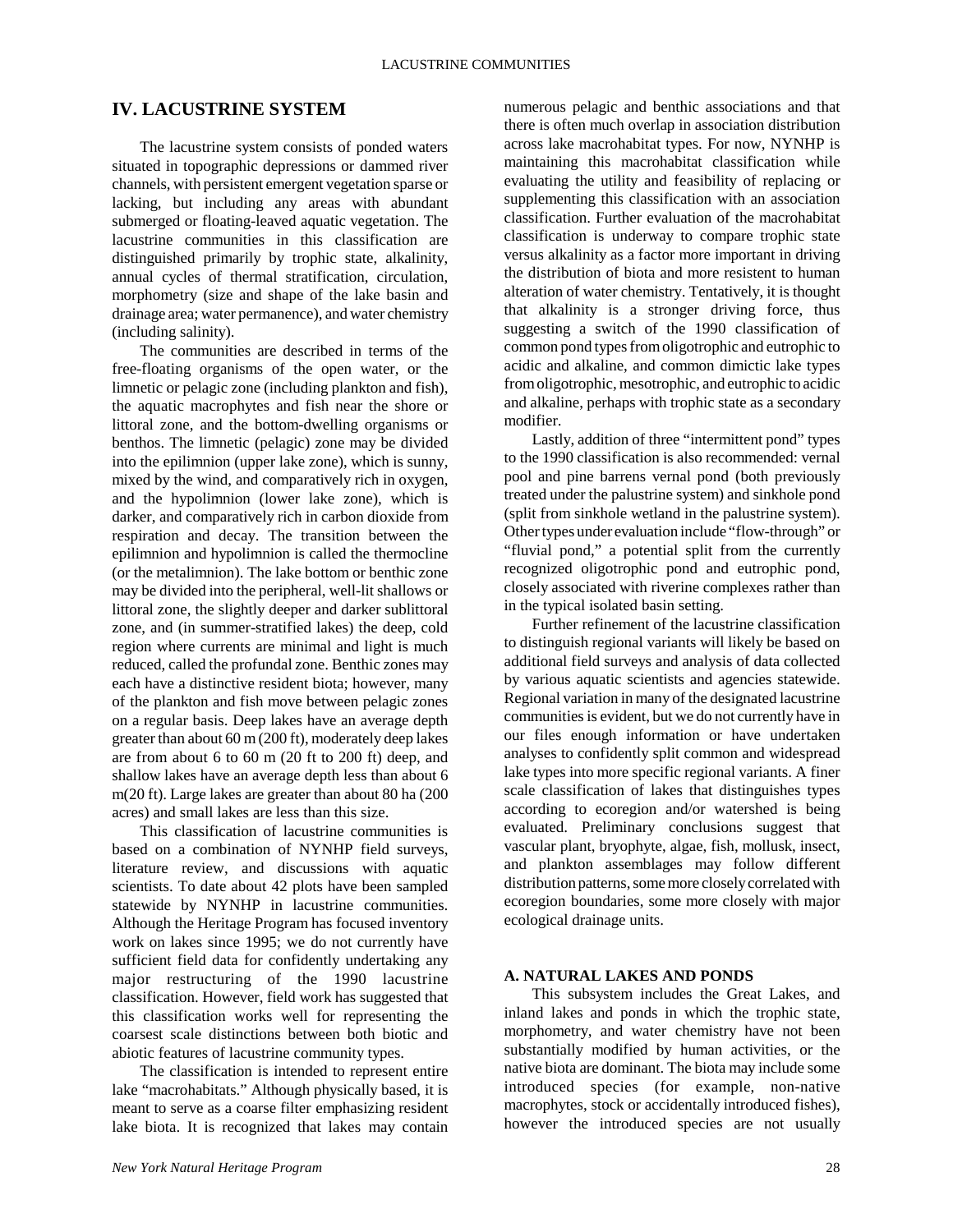# **IV. LACUSTRINE SYSTEM**

The lacustrine system consists of ponded waters situated in topographic depressions or dammed river channels, with persistent emergent vegetation sparse or lacking, but including any areas with abundant submerged or floating-leaved aquatic vegetation. The lacustrine communities in this classification are distinguished primarily by trophic state, alkalinity, annual cycles of thermal stratification, circulation, morphometry (size and shape of the lake basin and drainage area; water permanence), and water chemistry (including salinity).

The communities are described in terms of the free-floating organisms of the open water, or the limnetic or pelagic zone (including plankton and fish), the aquatic macrophytes and fish near the shore or littoral zone, and the bottom-dwelling organisms or benthos. The limnetic (pelagic) zone may be divided into the epilimnion (upper lake zone), which is sunny, mixed by the wind, and comparatively rich in oxygen, and the hypolimnion (lower lake zone), which is darker, and comparatively rich in carbon dioxide from respiration and decay. The transition between the epilimnion and hypolimnion is called the thermocline (or the metalimnion). The lake bottom or benthic zone may be divided into the peripheral, well-lit shallows or littoral zone, the slightly deeper and darker sublittoral zone, and (in summer-stratified lakes) the deep, cold region where currents are minimal and light is much reduced, called the profundal zone. Benthic zones may each have a distinctive resident biota; however, many of the plankton and fish move between pelagic zones on a regular basis. Deep lakes have an average depth greater than about 60 m (200 ft), moderately deep lakes are from about 6 to 60 m (20 ft to 200 ft) deep, and shallow lakes have an average depth less than about 6 m(20 ft). Large lakes are greater than about 80 ha (200 acres) and small lakes are less than this size.

This classification of lacustrine communities is based on a combination of NYNHP field surveys, literature review, and discussions with aquatic scientists. To date about 42 plots have been sampled statewide by NYNHP in lacustrine communities. Although the Heritage Program has focused inventory work on lakes since 1995; we do not currently have sufficient field data for confidently undertaking any major restructuring of the 1990 lacustrine classification. However, field work has suggested that this classification works well for representing the coarsest scale distinctions between both biotic and abiotic features of lacustrine community types.

The classification is intended to represent entire lake "macrohabitats." Although physically based, it is meant to serve as a coarse filter emphasizing resident lake biota. It is recognized that lakes may contain numerous pelagic and benthic associations and that there is often much overlap in association distribution across lake macrohabitat types. For now, NYNHP is maintaining this macrohabitat classification while evaluating the utility and feasibility of replacing or supplementing this classification with an association classification. Further evaluation of the macrohabitat classification is underway to compare trophic state versus alkalinity as a factor more important in driving the distribution of biota and more resistent to human alteration of water chemistry. Tentatively, it is thought that alkalinity is a stronger driving force, thus suggesting a switch of the 1990 classification of common pond types from oligotrophic and eutrophic to acidic and alkaline, and common dimictic lake types from oligotrophic, mesotrophic, and eutrophic to acidic and alkaline, perhaps with trophic state as a secondary modifier.

Lastly, addition of three "intermittent pond" types to the 1990 classification is also recommended: vernal pool and pine barrens vernal pond (both previously treated under the palustrine system) and sinkhole pond (split from sinkhole wetland in the palustrine system). Other types under evaluation include "flow-through" or "fluvial pond," a potential split from the currently recognized oligotrophic pond and eutrophic pond, closely associated with riverine complexes rather than in the typical isolated basin setting.

Further refinement of the lacustrine classification to distinguish regional variants will likely be based on additional field surveys and analysis of data collected by various aquatic scientists and agencies statewide. Regional variation in many of the designated lacustrine communities is evident, but we do not currently have in our files enough information or have undertaken analyses to confidently split common and widespread lake types into more specific regional variants. A finer scale classification of lakes that distinguishes types according to ecoregion and/or watershed is being evaluated. Preliminary conclusions suggest that vascular plant, bryophyte, algae, fish, mollusk, insect, and plankton assemblages may follow different distribution patterns, some more closely correlated with ecoregion boundaries, some more closely with major ecological drainage units.

## **A. NATURAL LAKES AND PONDS**

This subsystem includes the Great Lakes, and inland lakes and ponds in which the trophic state, morphometry, and water chemistry have not been substantially modified by human activities, or the native biota are dominant. The biota may include some introduced species (for example, non-native macrophytes, stock or accidentally introduced fishes), however the introduced species are not usually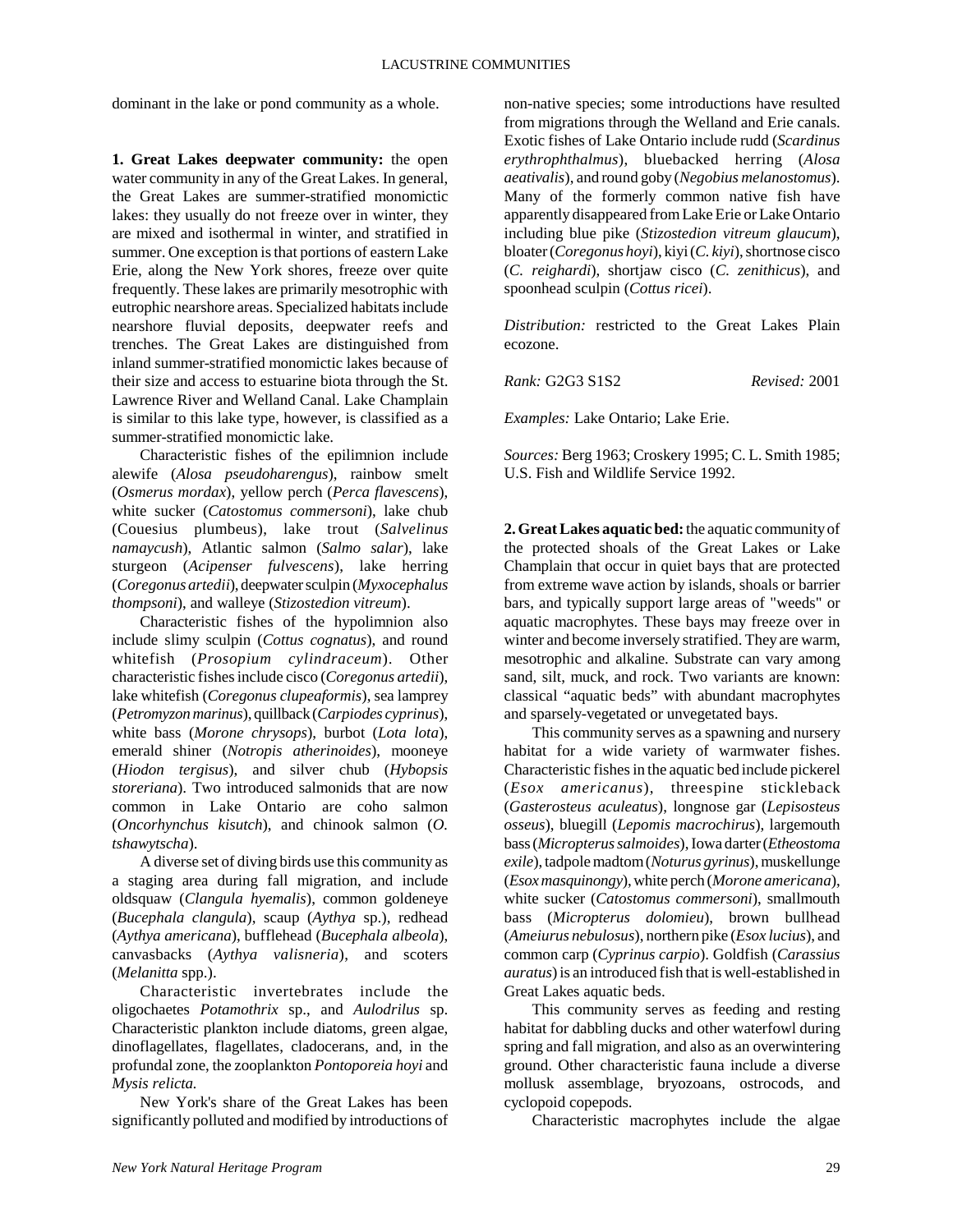dominant in the lake or pond community as a whole.

**1. Great Lakes deepwater community:** the open water community in any of the Great Lakes. In general, the Great Lakes are summer-stratified monomictic lakes: they usually do not freeze over in winter, they are mixed and isothermal in winter, and stratified in summer. One exception is that portions of eastern Lake Erie, along the New York shores, freeze over quite frequently. These lakes are primarily mesotrophic with eutrophic nearshore areas. Specialized habitats include nearshore fluvial deposits, deepwater reefs and trenches. The Great Lakes are distinguished from inland summer-stratified monomictic lakes because of their size and access to estuarine biota through the St. Lawrence River and Welland Canal. Lake Champlain is similar to this lake type, however, is classified as a summer-stratified monomictic lake.

Characteristic fishes of the epilimnion include alewife (*Alosa pseudoharengus*), rainbow smelt (*Osmerus mordax*), yellow perch (*Perca flavescens*), white sucker (*Catostomus commersoni*), lake chub (Couesius plumbeus), lake trout (*Salvelinus namaycush*), Atlantic salmon (*Salmo salar*), lake sturgeon (*Acipenser fulvescens*), lake herring (*Coregonus artedii*), deepwater sculpin (*Myxocephalus thompsoni*), and walleye (*Stizostedion vitreum*).

Characteristic fishes of the hypolimnion also include slimy sculpin (*Cottus cognatus*), and round whitefish (*Prosopium cylindraceum*). Other characteristic fishes include cisco (*Coregonus artedii*), lake whitefish (*Coregonus clupeaformis*), sea lamprey (*Petromyzon marinus*), quillback (*Carpiodes cyprinus*), white bass (*Morone chrysops*), burbot (*Lota lota*), emerald shiner (*Notropis atherinoides*), mooneye (*Hiodon tergisus*), and silver chub (*Hybopsis storeriana*). Two introduced salmonids that are now common in Lake Ontario are coho salmon (*Oncorhynchus kisutch*), and chinook salmon (*O. tshawytscha*).

A diverse set of diving birds use this community as a staging area during fall migration, and include oldsquaw (*Clangula hyemalis*), common goldeneye (*Bucephala clangula*), scaup (*Aythya* sp.), redhead (*Aythya americana*), bufflehead (*Bucephala albeola*), canvasbacks (*Aythya valisneria*), and scoters (*Melanitta* spp.).

Characteristic invertebrates include the oligochaetes *Potamothrix* sp., and *Aulodrilus* sp. Characteristic plankton include diatoms, green algae, dinoflagellates, flagellates, cladocerans, and, in the profundal zone, the zooplankton *Pontoporeia hoyi* and *Mysis relicta.*

New York's share of the Great Lakes has been significantly polluted and modified by introductions of non-native species; some introductions have resulted from migrations through the Welland and Erie canals. Exotic fishes of Lake Ontario include rudd (*Scardinus erythrophthalmus*), bluebacked herring (*Alosa aeativalis*), and round goby (*Negobius melanostomus*). Many of the formerly common native fish have apparently disappeared from Lake Erie or Lake Ontario including blue pike (*Stizostedion vitreum glaucum*), bloater (*Coregonus hoyi*), kiyi (*C. kiyi*), shortnose cisco (*C. reighardi*), shortjaw cisco (*C. zenithicus*), and spoonhead sculpin (*Cottus ricei*).

*Distribution:* restricted to the Great Lakes Plain ecozone.

*Rank:* G2G3 S1S2 *Revised:* 2001

*Examples:* Lake Ontario; Lake Erie.

*Sources:* Berg 1963; Croskery 1995; C. L. Smith 1985; U.S. Fish and Wildlife Service 1992.

**2. Great Lakes aquatic bed:** the aquatic community of the protected shoals of the Great Lakes or Lake Champlain that occur in quiet bays that are protected from extreme wave action by islands, shoals or barrier bars, and typically support large areas of "weeds" or aquatic macrophytes. These bays may freeze over in winter and become inversely stratified. They are warm, mesotrophic and alkaline. Substrate can vary among sand, silt, muck, and rock. Two variants are known: classical "aquatic beds" with abundant macrophytes and sparsely-vegetated or unvegetated bays.

This community serves as a spawning and nursery habitat for a wide variety of warmwater fishes. Characteristic fishes in the aquatic bed include pickerel (*Esox americanus*), threespine stickleback (*Gasterosteus aculeatus*), longnose gar (*Lepisosteus osseus*), bluegill (*Lepomis macrochirus*), largemouth bass (*Micropterus salmoides*), Iowa darter (*Etheostoma exile*), tadpole madtom (*Noturus gyrinus*), muskellunge (*Esox masquinongy*), white perch (*Morone americana*), white sucker (*Catostomus commersoni*), smallmouth bass (*Micropterus dolomieu*), brown bullhead (*Ameiurus nebulosus*), northern pike (*Esox lucius*), and common carp (*Cyprinus carpio*). Goldfish (*Carassius auratus*) is an introduced fish that is well-established in Great Lakes aquatic beds.

This community serves as feeding and resting habitat for dabbling ducks and other waterfowl during spring and fall migration, and also as an overwintering ground. Other characteristic fauna include a diverse mollusk assemblage, bryozoans, ostrocods, and cyclopoid copepods.

Characteristic macrophytes include the algae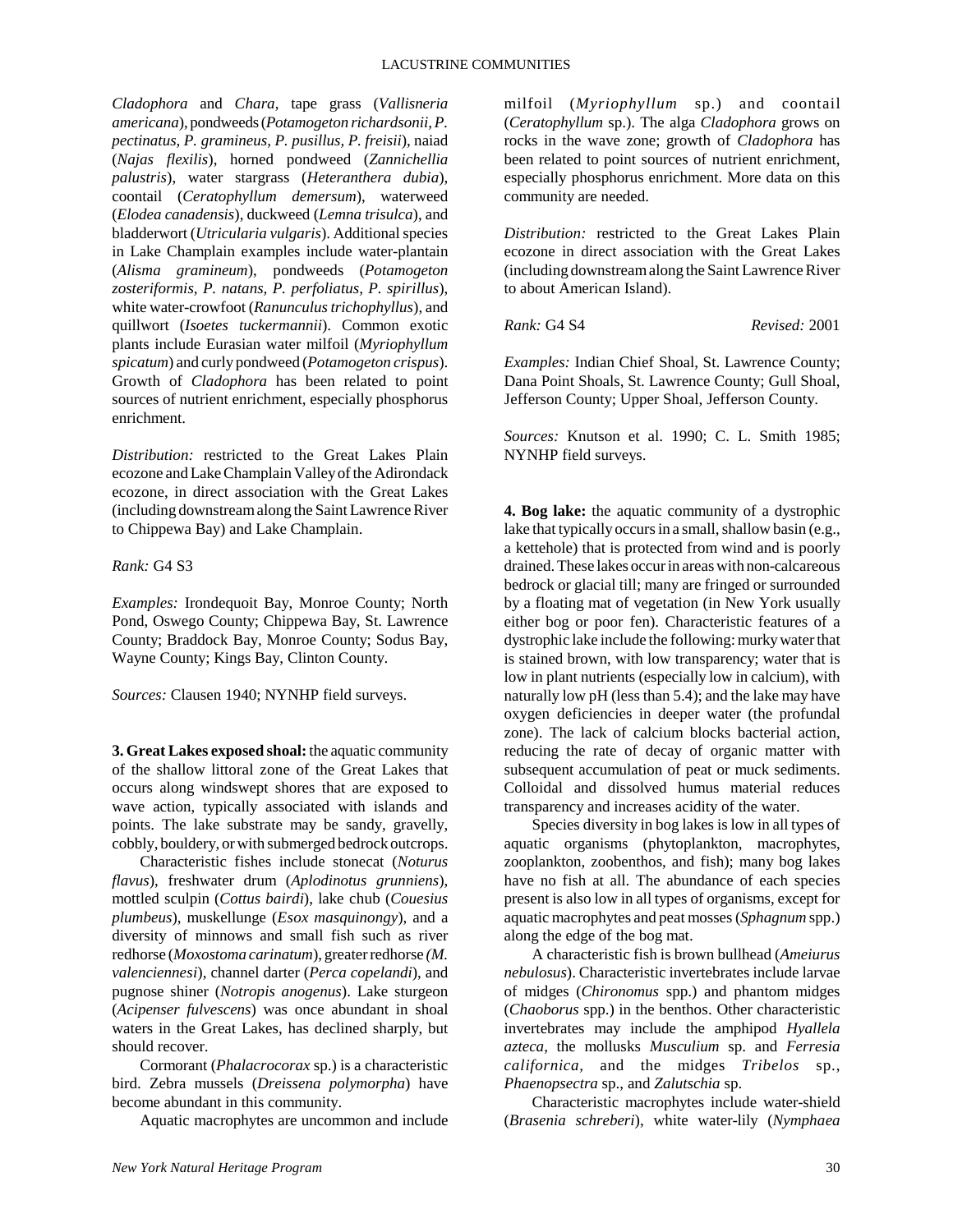*Cladophora* and *Chara*, tape grass (*Vallisneria americana*), pondweeds (*Potamogeton richardsonii, P. pectinatus, P. gramineus, P. pusillus, P. freisii*), naiad (*Najas flexilis*), horned pondweed (*Zannichellia palustris*), water stargrass (*Heteranthera dubia*), coontail (*Ceratophyllum demersum*), waterweed (*Elodea canadensis*), duckweed (*Lemna trisulca*), and bladderwort (*Utricularia vulgaris*). Additional species in Lake Champlain examples include water-plantain (*Alisma gramineum*), pondweeds (*Potamogeton zosteriformis, P. natans, P. perfoliatus, P. spirillus*), white water-crowfoot (*Ranunculus trichophyllus*), and quillwort (*Isoetes tuckermannii*). Common exotic plants include Eurasian water milfoil (*Myriophyllum spicatum*) and curly pondweed (*Potamogeton crispus*). Growth of *Cladophora* has been related to point sources of nutrient enrichment, especially phosphorus enrichment.

*Distribution:* restricted to the Great Lakes Plain ecozone and Lake Champlain Valley of the Adirondack ecozone, in direct association with the Great Lakes (including downstream along the Saint Lawrence River to Chippewa Bay) and Lake Champlain.

## *Rank:* G4 S3

*Examples:* Irondequoit Bay, Monroe County; North Pond, Oswego County; Chippewa Bay, St. Lawrence County; Braddock Bay, Monroe County; Sodus Bay, Wayne County; Kings Bay, Clinton County.

*Sources:* Clausen 1940; NYNHP field surveys.

**3. Great Lakes exposed shoal:** the aquatic community of the shallow littoral zone of the Great Lakes that occurs along windswept shores that are exposed to wave action, typically associated with islands and points. The lake substrate may be sandy, gravelly, cobbly, bouldery, or with submerged bedrock outcrops.

Characteristic fishes include stonecat (*Noturus flavus*), freshwater drum (*Aplodinotus grunniens*), mottled sculpin (*Cottus bairdi*), lake chub (*Couesius plumbeus*), muskellunge (*Esox masquinongy*), and a diversity of minnows and small fish such as river redhorse (*Moxostoma carinatum*), greater redhorse *(M. valenciennesi*), channel darter (*Perca copelandi*), and pugnose shiner (*Notropis anogenus*). Lake sturgeon (*Acipenser fulvescens*) was once abundant in shoal waters in the Great Lakes, has declined sharply, but should recover.

Cormorant (*Phalacrocorax* sp.) is a characteristic bird. Zebra mussels (*Dreissena polymorpha*) have become abundant in this community.

Aquatic macrophytes are uncommon and include

milfoil (*Myriophyllum* sp.) and coontail (*Ceratophyllum* sp.). The alga *Cladophora* grows on rocks in the wave zone; growth of *Cladophora* has been related to point sources of nutrient enrichment, especially phosphorus enrichment. More data on this community are needed.

*Distribution:* restricted to the Great Lakes Plain ecozone in direct association with the Great Lakes (including downstream along the Saint Lawrence River to about American Island).

*Rank:* G4 S4 *Revised:* 2001

*Examples:* Indian Chief Shoal, St. Lawrence County; Dana Point Shoals, St. Lawrence County; Gull Shoal, Jefferson County; Upper Shoal, Jefferson County.

*Sources:* Knutson et al. 1990; C. L. Smith 1985; NYNHP field surveys.

**4. Bog lake:** the aquatic community of a dystrophic lake that typically occurs in a small, shallow basin (e.g., a kettehole) that is protected from wind and is poorly drained. These lakes occur in areas with non-calcareous bedrock or glacial till; many are fringed or surrounded by a floating mat of vegetation (in New York usually either bog or poor fen). Characteristic features of a dystrophic lake include the following: murky water that is stained brown, with low transparency; water that is low in plant nutrients (especially low in calcium), with naturally low pH (less than 5.4); and the lake may have oxygen deficiencies in deeper water (the profundal zone). The lack of calcium blocks bacterial action, reducing the rate of decay of organic matter with subsequent accumulation of peat or muck sediments. Colloidal and dissolved humus material reduces transparency and increases acidity of the water.

Species diversity in bog lakes is low in all types of aquatic organisms (phytoplankton, macrophytes, zooplankton, zoobenthos, and fish); many bog lakes have no fish at all. The abundance of each species present is also low in all types of organisms, except for aquatic macrophytes and peat mosses (*Sphagnum* spp.) along the edge of the bog mat.

A characteristic fish is brown bullhead (*Ameiurus nebulosus*). Characteristic invertebrates include larvae of midges (*Chironomus* spp.) and phantom midges (*Chaoborus* spp.) in the benthos. Other characteristic invertebrates may include the amphipod *Hyallela azteca*, the mollusks *Musculium* sp. and *Ferresia californica,* and the midges *Tribelos* sp., *Phaenopsectra* sp., and *Zalutschia* sp.

Characteristic macrophytes include water-shield (*Brasenia schreberi*), white water-lily (*Nymphaea*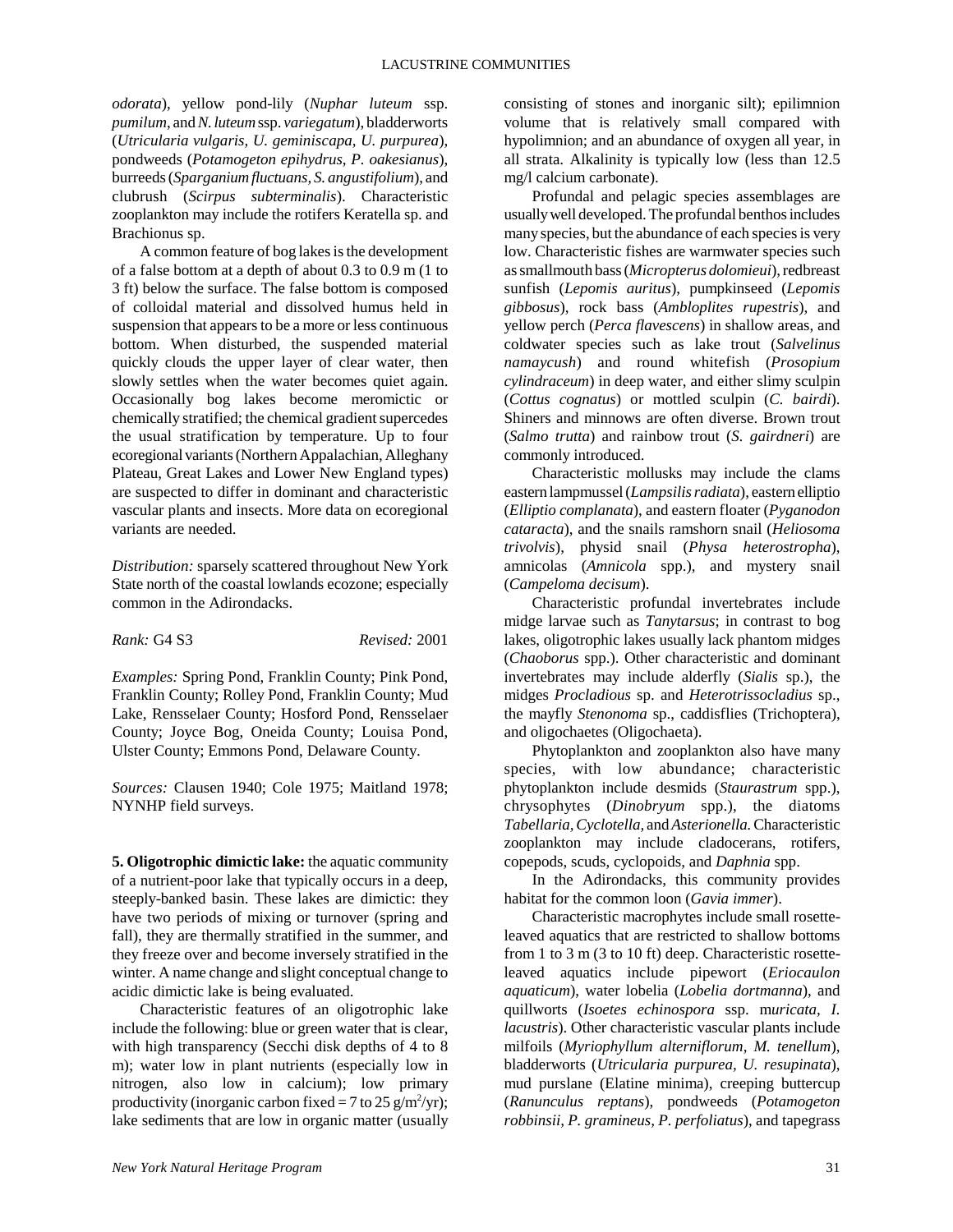*odorata*), yellow pond-lily (*Nuphar luteum* ssp. *pumilum*, and *N. luteum* ssp. *variegatum*), bladderworts (*Utricularia vulgaris, U. geminiscapa, U. purpurea*), pondweeds (*Potamogeton epihydrus, P. oakesianus*), burreeds (*Sparganium fluctuans, S. angustifolium*), and clubrush (*Scirpus subterminalis*). Characteristic zooplankton may include the rotifers Keratella sp. and Brachionus sp.

A common feature of bog lakes is the development of a false bottom at a depth of about 0.3 to 0.9 m (1 to 3 ft) below the surface. The false bottom is composed of colloidal material and dissolved humus held in suspension that appears to be a more or less continuous bottom. When disturbed, the suspended material quickly clouds the upper layer of clear water, then slowly settles when the water becomes quiet again. Occasionally bog lakes become meromictic or chemically stratified; the chemical gradient supercedes the usual stratification by temperature. Up to four ecoregional variants (Northern Appalachian, Alleghany Plateau, Great Lakes and Lower New England types) are suspected to differ in dominant and characteristic vascular plants and insects. More data on ecoregional variants are needed.

*Distribution:* sparsely scattered throughout New York State north of the coastal lowlands ecozone; especially common in the Adirondacks.

*Rank:* G4 S3 *Revised:* 2001

*Examples:* Spring Pond, Franklin County; Pink Pond, Franklin County; Rolley Pond, Franklin County; Mud Lake, Rensselaer County; Hosford Pond, Rensselaer County; Joyce Bog, Oneida County; Louisa Pond, Ulster County; Emmons Pond, Delaware County.

*Sources:* Clausen 1940; Cole 1975; Maitland 1978; NYNHP field surveys.

**5. Oligotrophic dimictic lake:** the aquatic community of a nutrient-poor lake that typically occurs in a deep, steeply-banked basin. These lakes are dimictic: they have two periods of mixing or turnover (spring and fall), they are thermally stratified in the summer, and they freeze over and become inversely stratified in the winter. A name change and slight conceptual change to acidic dimictic lake is being evaluated.

Characteristic features of an oligotrophic lake include the following: blue or green water that is clear, with high transparency (Secchi disk depths of 4 to 8 m); water low in plant nutrients (especially low in nitrogen, also low in calcium); low primary productivity (inorganic carbon fixed = 7 to 25 g/m<sup>2</sup>/yr); lake sediments that are low in organic matter (usually consisting of stones and inorganic silt); epilimnion volume that is relatively small compared with hypolimnion; and an abundance of oxygen all year, in all strata. Alkalinity is typically low (less than 12.5 mg/l calcium carbonate).

Profundal and pelagic species assemblages are usually well developed. The profundal benthos includes many species, but the abundance of each species is very low. Characteristic fishes are warmwater species such as smallmouth bass (*Micropterus dolomieui*), redbreast sunfish (*Lepomis auritus*), pumpkinseed (*Lepomis gibbosus*), rock bass (*Ambloplites rupestris*), and yellow perch (*Perca flavescens*) in shallow areas, and coldwater species such as lake trout (*Salvelinus namaycush*) and round whitefish (*Prosopium cylindraceum*) in deep water, and either slimy sculpin (*Cottus cognatus*) or mottled sculpin (*C. bairdi*). Shiners and minnows are often diverse. Brown trout (*Salmo trutta*) and rainbow trout (*S. gairdneri*) are commonly introduced.

Characteristic mollusks may include the clams eastern lampmussel (*Lampsilis radiata*), eastern elliptio (*Elliptio complanata*), and eastern floater (*Pyganodon cataracta*), and the snails ramshorn snail (*Heliosoma trivolvis*), physid snail (*Physa heterostropha*), amnicolas (*Amnicola* spp.), and mystery snail (*Campeloma decisum*).

Characteristic profundal invertebrates include midge larvae such as *Tanytarsus*; in contrast to bog lakes, oligotrophic lakes usually lack phantom midges (*Chaoborus* spp.). Other characteristic and dominant invertebrates may include alderfly (*Sialis* sp.), the midges *Procladious* sp. and *Heterotrissocladius* sp., the mayfly *Stenonoma* sp., caddisflies (Trichoptera), and oligochaetes (Oligochaeta).

Phytoplankton and zooplankton also have many species, with low abundance; characteristic phytoplankton include desmids (*Staurastrum* spp.), chrysophytes (*Dinobryum* spp.), the diatoms *Tabellaria, Cyclotella,* and *Asterionella.* Characteristic zooplankton may include cladocerans, rotifers, copepods, scuds, cyclopoids, and *Daphnia* spp.

In the Adirondacks, this community provides habitat for the common loon (*Gavia immer*).

Characteristic macrophytes include small rosetteleaved aquatics that are restricted to shallow bottoms from 1 to 3 m (3 to 10 ft) deep. Characteristic rosetteleaved aquatics include pipewort (*Eriocaulon aquaticum*), water lobelia (*Lobelia dortmanna*), and quillworts (*Isoetes echinospora* ssp. m*uricata, I. lacustris*). Other characteristic vascular plants include milfoils (*Myriophyllum alterniflorum, M. tenellum*), bladderworts (*Utricularia purpurea, U. resupinata*), mud purslane (Elatine minima), creeping buttercup (*Ranunculus reptans*), pondweeds (*Potamogeton robbinsii, P. gramineus, P. perfoliatus*), and tapegrass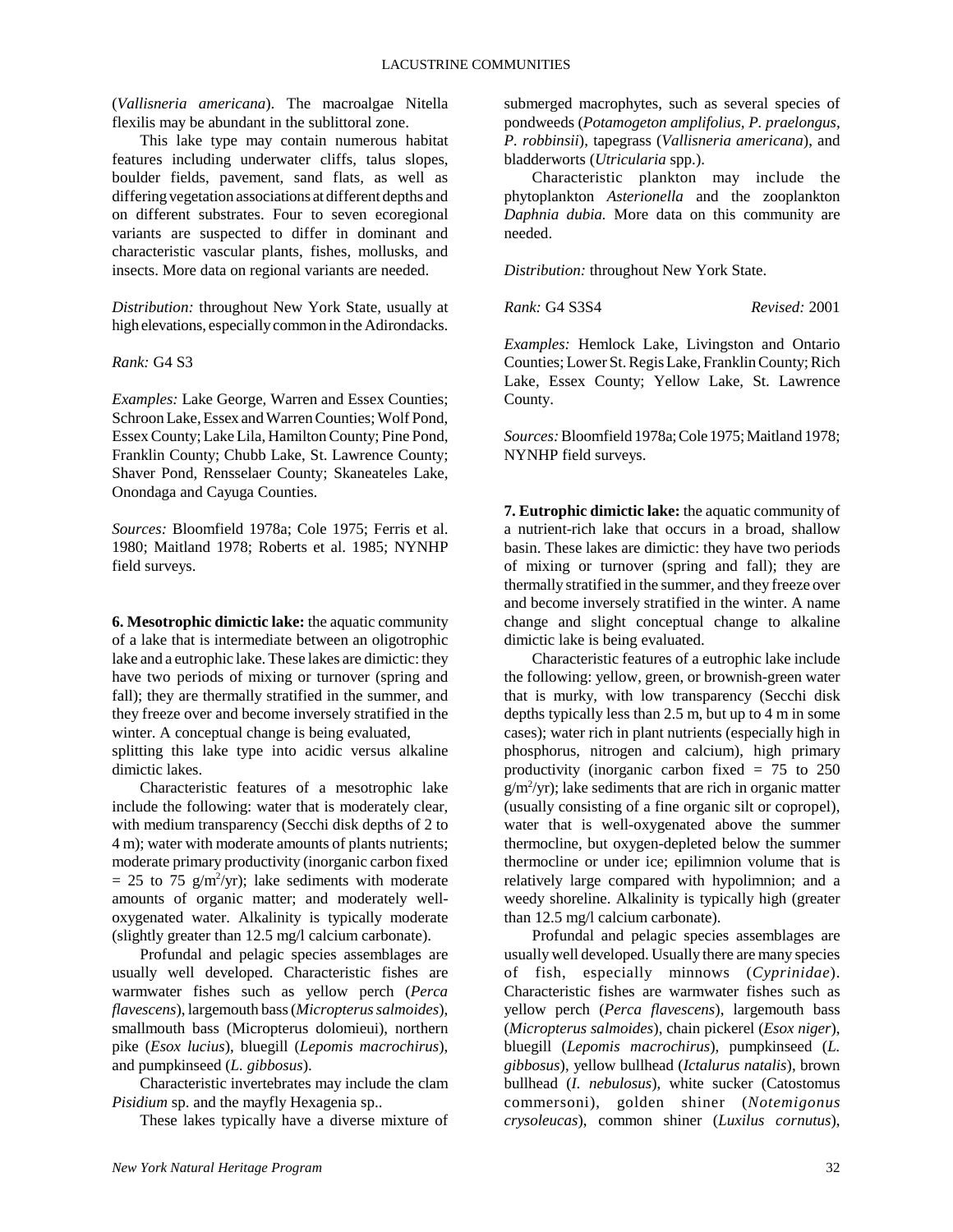(*Vallisneria americana*). The macroalgae Nitella flexilis may be abundant in the sublittoral zone.

This lake type may contain numerous habitat features including underwater cliffs, talus slopes, boulder fields, pavement, sand flats, as well as differing vegetation associations at different depths and on different substrates. Four to seven ecoregional variants are suspected to differ in dominant and characteristic vascular plants, fishes, mollusks, and insects. More data on regional variants are needed.

*Distribution:* throughout New York State, usually at high elevations, especially common in the Adirondacks.

### *Rank:* G4 S3

*Examples:* Lake George, Warren and Essex Counties; Schroon Lake, Essex and Warren Counties; Wolf Pond, Essex County; Lake Lila, Hamilton County; Pine Pond, Franklin County; Chubb Lake, St. Lawrence County; Shaver Pond, Rensselaer County; Skaneateles Lake, Onondaga and Cayuga Counties.

*Sources:* Bloomfield 1978a; Cole 1975; Ferris et al. 1980; Maitland 1978; Roberts et al. 1985; NYNHP field surveys.

**6. Mesotrophic dimictic lake:** the aquatic community of a lake that is intermediate between an oligotrophic lake and a eutrophic lake. These lakes are dimictic: they have two periods of mixing or turnover (spring and fall); they are thermally stratified in the summer, and they freeze over and become inversely stratified in the winter. A conceptual change is being evaluated,

splitting this lake type into acidic versus alkaline dimictic lakes.

Characteristic features of a mesotrophic lake include the following: water that is moderately clear, with medium transparency (Secchi disk depths of 2 to 4 m); water with moderate amounts of plants nutrients; moderate primary productivity (inorganic carbon fixed  $= 25$  to 75 g/m<sup>2</sup>/yr); lake sediments with moderate amounts of organic matter; and moderately welloxygenated water. Alkalinity is typically moderate (slightly greater than 12.5 mg/l calcium carbonate).

Profundal and pelagic species assemblages are usually well developed. Characteristic fishes are warmwater fishes such as yellow perch (*Perca flavescens*), largemouth bass (*Micropterus salmoides*), smallmouth bass (Micropterus dolomieui), northern pike (*Esox lucius*), bluegill (*Lepomis macrochirus*), and pumpkinseed (*L. gibbosus*).

Characteristic invertebrates may include the clam *Pisidium* sp. and the mayfly Hexagenia sp..

These lakes typically have a diverse mixture of

submerged macrophytes, such as several species of pondweeds (*Potamogeton amplifolius, P. praelongus, P. robbinsii*), tapegrass (*Vallisneria americana*), and bladderworts (*Utricularia* spp.).

Characteristic plankton may include the phytoplankton *Asterionella* and the zooplankton *Daphnia dubia.* More data on this community are needed.

*Distribution:* throughout New York State.

*Rank:* G4 S3S4 *Revised:* 2001

*Examples:* Hemlock Lake, Livingston and Ontario Counties; Lower St. Regis Lake, Franklin County; Rich Lake, Essex County; Yellow Lake, St. Lawrence County.

*Sources:* Bloomfield 1978a; Cole 1975; Maitland 1978; NYNHP field surveys.

**7. Eutrophic dimictic lake:** the aquatic community of a nutrient-rich lake that occurs in a broad, shallow basin. These lakes are dimictic: they have two periods of mixing or turnover (spring and fall); they are thermally stratified in the summer, and they freeze over and become inversely stratified in the winter. A name change and slight conceptual change to alkaline dimictic lake is being evaluated.

Characteristic features of a eutrophic lake include the following: yellow, green, or brownish-green water that is murky, with low transparency (Secchi disk depths typically less than 2.5 m, but up to 4 m in some cases); water rich in plant nutrients (especially high in phosphorus, nitrogen and calcium), high primary productivity (inorganic carbon fixed = 75 to 250  $g/m^2$ /yr); lake sediments that are rich in organic matter (usually consisting of a fine organic silt or copropel), water that is well-oxygenated above the summer thermocline, but oxygen-depleted below the summer thermocline or under ice; epilimnion volume that is relatively large compared with hypolimnion; and a weedy shoreline. Alkalinity is typically high (greater than 12.5 mg/l calcium carbonate).

Profundal and pelagic species assemblages are usually well developed. Usually there are many species of fish, especially minnows (*Cyprinidae*). Characteristic fishes are warmwater fishes such as yellow perch (*Perca flavescens*), largemouth bass (*Micropterus salmoides*), chain pickerel (*Esox niger*), bluegill (*Lepomis macrochirus*), pumpkinseed (*L. gibbosus*), yellow bullhead (*Ictalurus natalis*), brown bullhead (*I. nebulosus*), white sucker (Catostomus commersoni), golden shiner (*Notemigonus crysoleucas*), common shiner (*Luxilus cornutus*),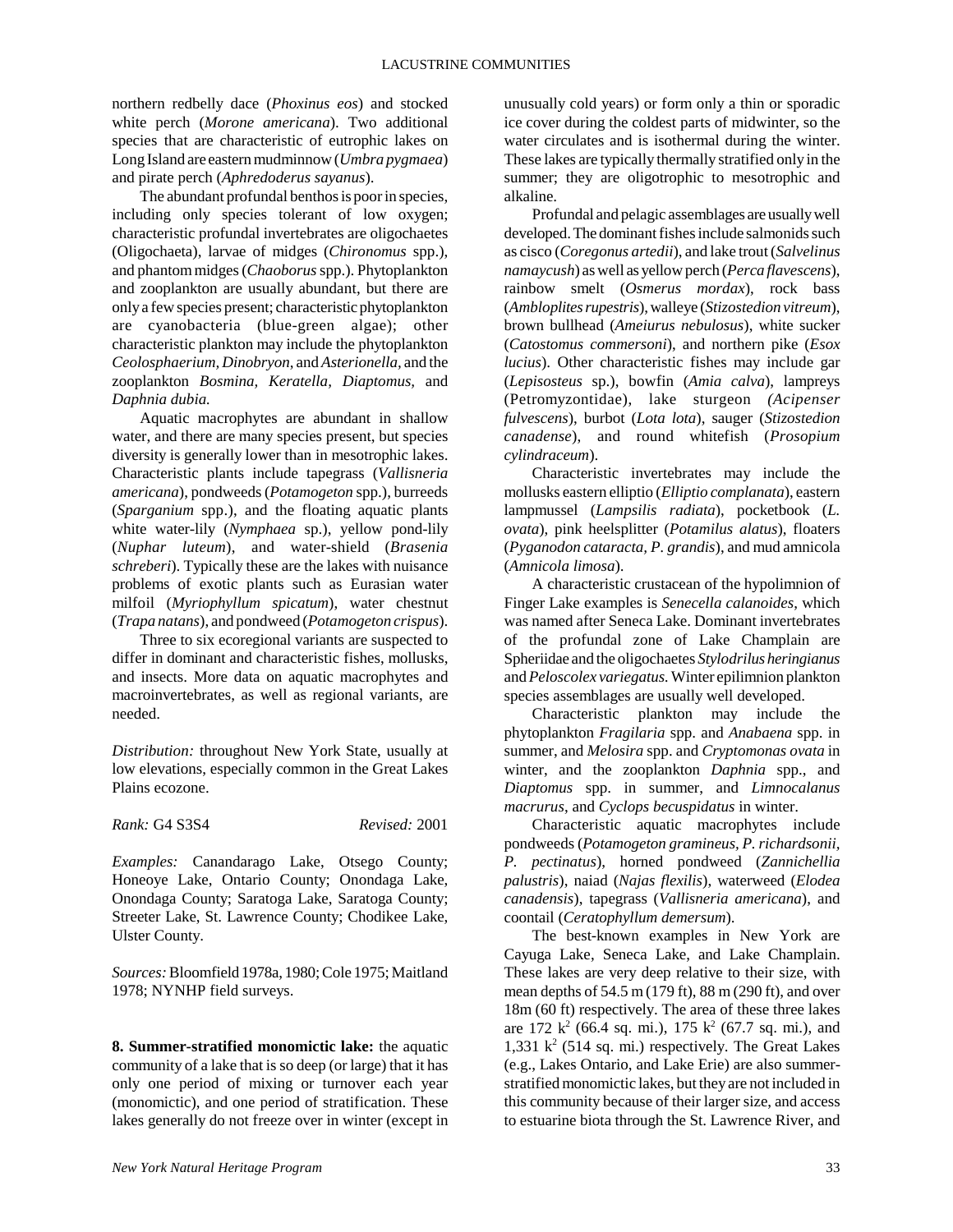northern redbelly dace (*Phoxinus eos*) and stocked white perch (*Morone americana*). Two additional species that are characteristic of eutrophic lakes on Long Island are eastern mudminnow (*Umbra pygmaea*) and pirate perch (*Aphredoderus sayanus*).

The abundant profundal benthos is poor in species, including only species tolerant of low oxygen; characteristic profundal invertebrates are oligochaetes (Oligochaeta), larvae of midges (*Chironomus* spp.), and phantom midges (*Chaoborus* spp.). Phytoplankton and zooplankton are usually abundant, but there are only a few species present; characteristic phytoplankton are cyanobacteria (blue-green algae); other characteristic plankton may include the phytoplankton *Ceolosphaerium, Dinobryon*, and *Asterionella,* and the zooplankton *Bosmina, Keratella, Diaptomus,* and *Daphnia dubia.* 

Aquatic macrophytes are abundant in shallow water, and there are many species present, but species diversity is generally lower than in mesotrophic lakes. Characteristic plants include tapegrass (*Vallisneria americana*), pondweeds (*Potamogeton* spp.), burreeds (*Sparganium* spp.), and the floating aquatic plants white water-lily (*Nymphaea* sp.), yellow pond-lily (*Nuphar luteum*), and water-shield (*Brasenia schreberi*). Typically these are the lakes with nuisance problems of exotic plants such as Eurasian water milfoil (*Myriophyllum spicatum*), water chestnut (*Trapa natans*), and pondweed (*Potamogeton crispus*).

Three to six ecoregional variants are suspected to differ in dominant and characteristic fishes, mollusks, and insects. More data on aquatic macrophytes and macroinvertebrates, as well as regional variants, are needed.

*Distribution:* throughout New York State, usually at low elevations, especially common in the Great Lakes Plains ecozone.

*Rank:* G4 S3S4 *Revised:* 2001

*Examples:* Canandarago Lake, Otsego County; Honeoye Lake, Ontario County; Onondaga Lake, Onondaga County; Saratoga Lake, Saratoga County; Streeter Lake, St. Lawrence County; Chodikee Lake, Ulster County.

*Sources:* Bloomfield 1978a, 1980; Cole 1975; Maitland 1978; NYNHP field surveys.

**8. Summer-stratified monomictic lake:** the aquatic community of a lake that is so deep (or large) that it has only one period of mixing or turnover each year (monomictic), and one period of stratification. These lakes generally do not freeze over in winter (except in

unusually cold years) or form only a thin or sporadic ice cover during the coldest parts of midwinter, so the water circulates and is isothermal during the winter. These lakes are typically thermally stratified only in the summer; they are oligotrophic to mesotrophic and alkaline.

Profundal and pelagic assemblages are usually well developed. The dominant fishes include salmonids such as cisco (*Coregonus artedii*), and lake trout (*Salvelinus namaycush*) as well as yellow perch (*Perca flavescens*), rainbow smelt (*Osmerus mordax*), rock bass (*Ambloplites rupestris*), walleye (*Stizostedion vitreum*), brown bullhead (*Ameiurus nebulosus*), white sucker (*Catostomus commersoni*), and northern pike (*Esox lucius*). Other characteristic fishes may include gar (*Lepisosteus* sp.), bowfin (*Amia calva*), lampreys (Petromyzontidae), lake sturgeon *(Acipenser fulvescens*), burbot (*Lota lota*), sauger (*Stizostedion canadense*), and round whitefish (*Prosopium cylindraceum*).

Characteristic invertebrates may include the mollusks eastern elliptio (*Elliptio complanata*), eastern lampmussel (*Lampsilis radiata*), pocketbook (*L. ovata*), pink heelsplitter (*Potamilus alatus*), floaters (*Pyganodon cataracta, P. grandis*), and mud amnicola (*Amnicola limosa*).

A characteristic crustacean of the hypolimnion of Finger Lake examples is *Senecella calanoides*, which was named after Seneca Lake. Dominant invertebrates of the profundal zone of Lake Champlain are Spheriidae and the oligochaetes *Stylodrilus heringianus* and *Peloscolex variegatus.* Winter epilimnion plankton species assemblages are usually well developed.

Characteristic plankton may include the phytoplankton *Fragilaria* spp. and *Anabaena* spp. in summer, and *Melosira* spp. and *Cryptomonas ovata* in winter, and the zooplankton *Daphnia* spp., and *Diaptomus* spp. in summer, and *Limnocalanus macrurus*, and *Cyclops becuspidatus* in winter.

Characteristic aquatic macrophytes include pondweeds (*Potamogeton gramineus, P. richardsonii, P. pectinatus*), horned pondweed (*Zannichellia palustris*), naiad (*Najas flexilis*), waterweed (*Elodea canadensis*), tapegrass (*Vallisneria americana*), and coontail (*Ceratophyllum demersum*).

The best-known examples in New York are Cayuga Lake, Seneca Lake, and Lake Champlain. These lakes are very deep relative to their size, with mean depths of 54.5 m (179 ft), 88 m (290 ft), and over 18m (60 ft) respectively. The area of these three lakes are 172  $k^2$  (66.4 sq. mi.), 175  $k^2$  (67.7 sq. mi.), and 1,331  $k^2$  (514 sq. mi.) respectively. The Great Lakes (e.g., Lakes Ontario, and Lake Erie) are also summerstratified monomictic lakes, but they are not included in this community because of their larger size, and access to estuarine biota through the St. Lawrence River, and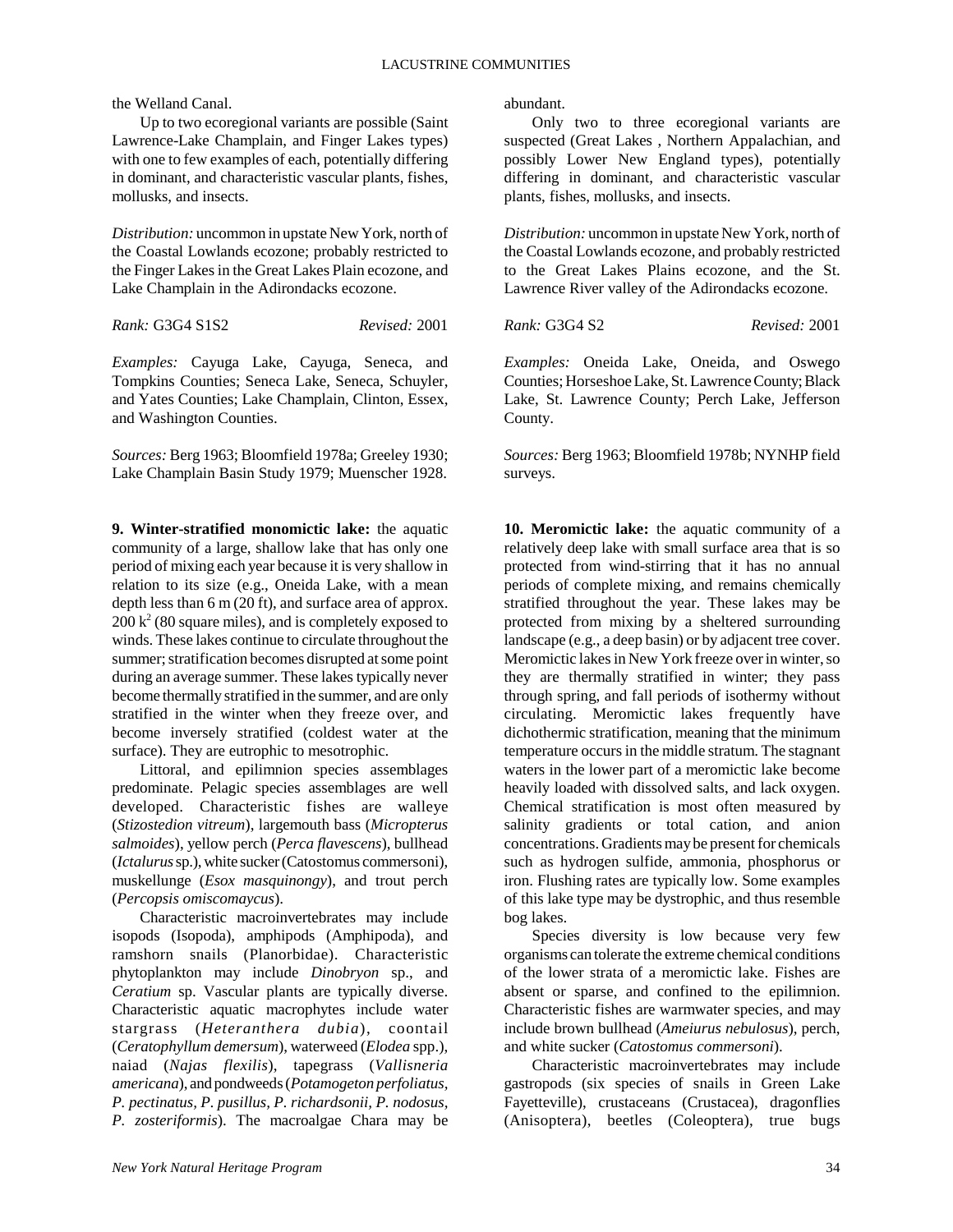the Welland Canal.

Up to two ecoregional variants are possible (Saint Lawrence-Lake Champlain, and Finger Lakes types) with one to few examples of each, potentially differing in dominant, and characteristic vascular plants, fishes, mollusks, and insects.

*Distribution:* uncommon in upstate New York, north of the Coastal Lowlands ecozone; probably restricted to the Finger Lakes in the Great Lakes Plain ecozone, and Lake Champlain in the Adirondacks ecozone.

*Rank:* G3G4 S1S2 *Revised:* 2001

*Examples:* Cayuga Lake, Cayuga, Seneca, and Tompkins Counties; Seneca Lake, Seneca, Schuyler, and Yates Counties; Lake Champlain, Clinton, Essex, and Washington Counties.

*Sources:* Berg 1963; Bloomfield 1978a; Greeley 1930; Lake Champlain Basin Study 1979; Muenscher 1928.

**9. Winter-stratified monomictic lake:** the aquatic community of a large, shallow lake that has only one period of mixing each year because it is very shallow in relation to its size (e.g., Oneida Lake, with a mean depth less than 6 m (20 ft), and surface area of approx.  $200 \text{ k}^2$  (80 square miles), and is completely exposed to winds. These lakes continue to circulate throughout the summer; stratification becomes disrupted at some point during an average summer. These lakes typically never become thermally stratified in the summer, and are only stratified in the winter when they freeze over, and become inversely stratified (coldest water at the surface). They are eutrophic to mesotrophic.

Littoral, and epilimnion species assemblages predominate. Pelagic species assemblages are well developed. Characteristic fishes are walleye (*Stizostedion vitreum*), largemouth bass (*Micropterus salmoides*), yellow perch (*Perca flavescens*), bullhead (*Ictalurus* sp.), white sucker (Catostomus commersoni), muskellunge (*Esox masquinongy*), and trout perch (*Percopsis omiscomaycus*).

Characteristic macroinvertebrates may include isopods (Isopoda), amphipods (Amphipoda), and ramshorn snails (Planorbidae). Characteristic phytoplankton may include *Dinobryon* sp., and *Ceratium* sp. Vascular plants are typically diverse. Characteristic aquatic macrophytes include water stargrass (*Heteranthera dubia*), coontail (*Ceratophyllum demersum*), waterweed (*Elodea* spp.), naiad (*Najas flexilis*), tapegrass (*Vallisneria americana*), and pondweeds (*Potamogeton perfoliatus, P. pectinatus, P. pusillus, P. richardsonii, P. nodosus, P. zosteriformis*). The macroalgae Chara may be

abundant.

Only two to three ecoregional variants are suspected (Great Lakes , Northern Appalachian, and possibly Lower New England types), potentially differing in dominant, and characteristic vascular plants, fishes, mollusks, and insects.

*Distribution:* uncommon in upstate New York, north of the Coastal Lowlands ecozone, and probably restricted to the Great Lakes Plains ecozone, and the St. Lawrence River valley of the Adirondacks ecozone.

*Rank:* G3G4 S2 *Revised:* 2001

*Examples:* Oneida Lake, Oneida, and Oswego Counties; Horseshoe Lake, St. Lawrence County; Black Lake, St. Lawrence County; Perch Lake, Jefferson County.

*Sources:* Berg 1963; Bloomfield 1978b; NYNHP field surveys.

**10. Meromictic lake:** the aquatic community of a relatively deep lake with small surface area that is so protected from wind-stirring that it has no annual periods of complete mixing, and remains chemically stratified throughout the year. These lakes may be protected from mixing by a sheltered surrounding landscape (e.g., a deep basin) or by adjacent tree cover. Meromictic lakes in New York freeze over in winter, so they are thermally stratified in winter; they pass through spring, and fall periods of isothermy without circulating. Meromictic lakes frequently have dichothermic stratification, meaning that the minimum temperature occurs in the middle stratum. The stagnant waters in the lower part of a meromictic lake become heavily loaded with dissolved salts, and lack oxygen. Chemical stratification is most often measured by salinity gradients or total cation, and anion concentrations. Gradients may be present for chemicals such as hydrogen sulfide, ammonia, phosphorus or iron. Flushing rates are typically low. Some examples of this lake type may be dystrophic, and thus resemble bog lakes.

Species diversity is low because very few organisms can tolerate the extreme chemical conditions of the lower strata of a meromictic lake. Fishes are absent or sparse, and confined to the epilimnion. Characteristic fishes are warmwater species, and may include brown bullhead (*Ameiurus nebulosus*), perch, and white sucker (*Catostomus commersoni*).

Characteristic macroinvertebrates may include gastropods (six species of snails in Green Lake Fayetteville), crustaceans (Crustacea), dragonflies (Anisoptera), beetles (Coleoptera), true bugs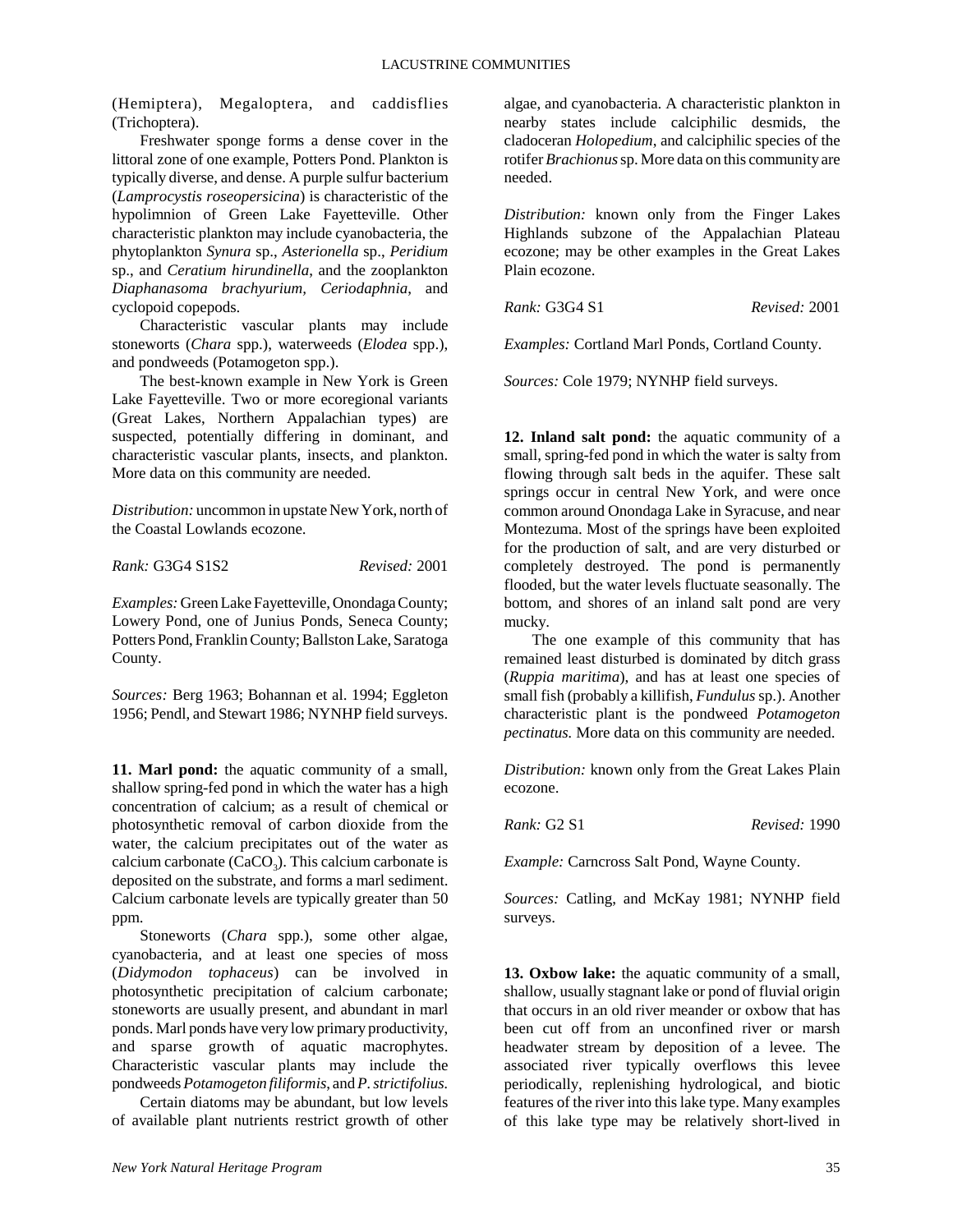(Hemiptera), Megaloptera, and caddisflies (Trichoptera).

Freshwater sponge forms a dense cover in the littoral zone of one example, Potters Pond. Plankton is typically diverse, and dense. A purple sulfur bacterium (*Lamprocystis roseopersicina*) is characteristic of the hypolimnion of Green Lake Fayetteville. Other characteristic plankton may include cyanobacteria, the phytoplankton *Synura* sp., *Asterionella* sp., *Peridium* sp., and *Ceratium hirundinella*, and the zooplankton *Diaphanasoma brachyurium, Ceriodaphnia*, and cyclopoid copepods.

Characteristic vascular plants may include stoneworts (*Chara* spp.), waterweeds (*Elodea* spp.), and pondweeds (Potamogeton spp.).

The best-known example in New York is Green Lake Fayetteville. Two or more ecoregional variants (Great Lakes, Northern Appalachian types) are suspected, potentially differing in dominant, and characteristic vascular plants, insects, and plankton. More data on this community are needed.

*Distribution:* uncommon in upstate New York, north of the Coastal Lowlands ecozone.

*Rank:* G3G4 S1S2 *Revised:* 2001

*Examples:* Green Lake Fayetteville, Onondaga County; Lowery Pond, one of Junius Ponds, Seneca County; Potters Pond, Franklin County; Ballston Lake, Saratoga County.

*Sources:* Berg 1963; Bohannan et al. 1994; Eggleton 1956; Pendl, and Stewart 1986; NYNHP field surveys.

**11. Marl pond:** the aquatic community of a small, shallow spring-fed pond in which the water has a high concentration of calcium; as a result of chemical or photosynthetic removal of carbon dioxide from the water, the calcium precipitates out of the water as calcium carbonate ( $CaCO<sub>3</sub>$ ). This calcium carbonate is deposited on the substrate, and forms a marl sediment. Calcium carbonate levels are typically greater than 50 ppm.

Stoneworts (*Chara* spp.), some other algae, cyanobacteria, and at least one species of moss (*Didymodon tophaceus*) can be involved in photosynthetic precipitation of calcium carbonate; stoneworts are usually present, and abundant in marl ponds. Marl ponds have very low primary productivity, and sparse growth of aquatic macrophytes. Characteristic vascular plants may include the pondweeds *Potamogeton filiformis*, and *P. strictifolius.*

Certain diatoms may be abundant, but low levels of available plant nutrients restrict growth of other

algae, and cyanobacteria. A characteristic plankton in nearby states include calciphilic desmids, the cladoceran *Holopedium*, and calciphilic species of the rotifer *Brachionus* sp. More data on this community are needed.

*Distribution:* known only from the Finger Lakes Highlands subzone of the Appalachian Plateau ecozone; may be other examples in the Great Lakes Plain ecozone.

*Rank:* G3G4 S1 *Revised:* 2001

*Examples:* Cortland Marl Ponds, Cortland County.

*Sources:* Cole 1979; NYNHP field surveys.

**12. Inland salt pond:** the aquatic community of a small, spring-fed pond in which the water is salty from flowing through salt beds in the aquifer. These salt springs occur in central New York, and were once common around Onondaga Lake in Syracuse, and near Montezuma. Most of the springs have been exploited for the production of salt, and are very disturbed or completely destroyed. The pond is permanently flooded, but the water levels fluctuate seasonally. The bottom, and shores of an inland salt pond are very mucky.

The one example of this community that has remained least disturbed is dominated by ditch grass (*Ruppia maritima*), and has at least one species of small fish (probably a killifish, *Fundulus* sp.). Another characteristic plant is the pondweed *Potamogeton pectinatus.* More data on this community are needed.

*Distribution:* known only from the Great Lakes Plain ecozone.

*Rank:* G2 S1 *Revised:* 1990

*Example:* Carncross Salt Pond, Wayne County.

*Sources:* Catling, and McKay 1981; NYNHP field surveys.

**13. Oxbow lake:** the aquatic community of a small, shallow, usually stagnant lake or pond of fluvial origin that occurs in an old river meander or oxbow that has been cut off from an unconfined river or marsh headwater stream by deposition of a levee. The associated river typically overflows this levee periodically, replenishing hydrological, and biotic features of the river into this lake type. Many examples of this lake type may be relatively short-lived in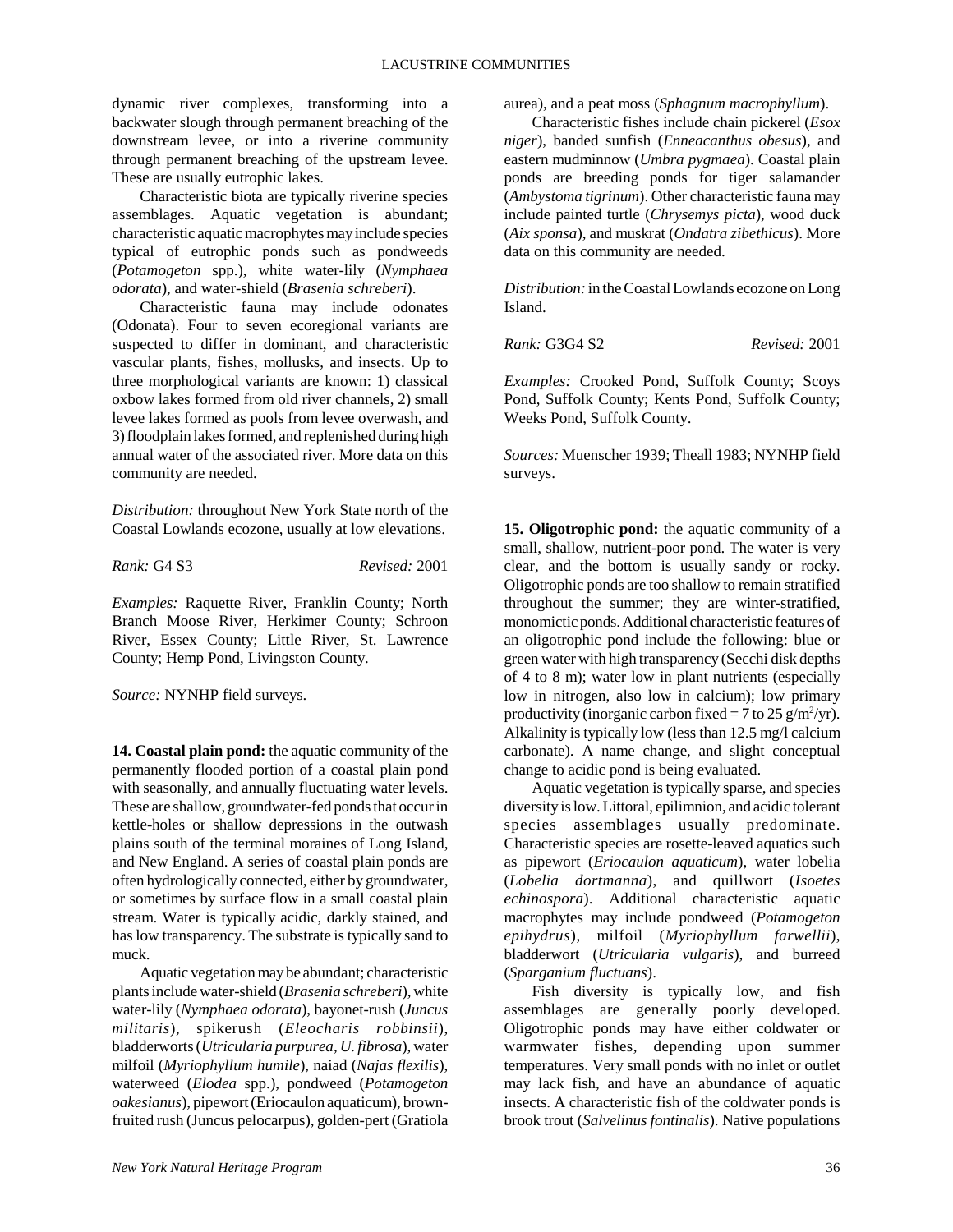dynamic river complexes, transforming into a backwater slough through permanent breaching of the downstream levee, or into a riverine community through permanent breaching of the upstream levee. These are usually eutrophic lakes.

Characteristic biota are typically riverine species assemblages. Aquatic vegetation is abundant; characteristic aquatic macrophytes may include species typical of eutrophic ponds such as pondweeds (*Potamogeton* spp.), white water-lily (*Nymphaea odorata*), and water-shield (*Brasenia schreberi*).

Characteristic fauna may include odonates (Odonata). Four to seven ecoregional variants are suspected to differ in dominant, and characteristic vascular plants, fishes, mollusks, and insects. Up to three morphological variants are known: 1) classical oxbow lakes formed from old river channels, 2) small levee lakes formed as pools from levee overwash, and 3) floodplain lakes formed, and replenished during high annual water of the associated river. More data on this community are needed.

*Distribution:* throughout New York State north of the Coastal Lowlands ecozone, usually at low elevations.

*Rank:* G4 S3 *Revised:* 2001

*Examples:* Raquette River, Franklin County; North Branch Moose River, Herkimer County; Schroon River, Essex County; Little River, St. Lawrence County; Hemp Pond, Livingston County.

*Source:* NYNHP field surveys.

**14. Coastal plain pond:** the aquatic community of the permanently flooded portion of a coastal plain pond with seasonally, and annually fluctuating water levels. These are shallow, groundwater-fed ponds that occur in kettle-holes or shallow depressions in the outwash plains south of the terminal moraines of Long Island, and New England. A series of coastal plain ponds are often hydrologically connected, either by groundwater, or sometimes by surface flow in a small coastal plain stream. Water is typically acidic, darkly stained, and has low transparency. The substrate is typically sand to muck.

Aquatic vegetation may be abundant; characteristic plants include water-shield (*Brasenia schreberi*), white water-lily (*Nymphaea odorata*), bayonet-rush (*Juncus militaris*), spikerush (*Eleocharis robbinsii*), bladderworts (*Utricularia purpurea, U. fibrosa*), water milfoil (*Myriophyllum humile*), naiad (*Najas flexilis*), waterweed (*Elodea* spp.), pondweed (*Potamogeton oakesianus*), pipewort (Eriocaulon aquaticum), brownfruited rush (Juncus pelocarpus), golden-pert (Gratiola aurea), and a peat moss (*Sphagnum macrophyllum*).

Characteristic fishes include chain pickerel (*Esox niger*), banded sunfish (*Enneacanthus obesus*), and eastern mudminnow (*Umbra pygmaea*). Coastal plain ponds are breeding ponds for tiger salamander (*Ambystoma tigrinum*). Other characteristic fauna may include painted turtle (*Chrysemys picta*), wood duck (*Aix sponsa*), and muskrat (*Ondatra zibethicus*). More data on this community are needed.

*Distribution:* in the Coastal Lowlands ecozone on Long Island.

*Rank:* G3G4 S2 *Revised:* 2001

*Examples:* Crooked Pond, Suffolk County; Scoys Pond, Suffolk County; Kents Pond, Suffolk County; Weeks Pond, Suffolk County.

*Sources:* Muenscher 1939; Theall 1983; NYNHP field surveys.

**15. Oligotrophic pond:** the aquatic community of a small, shallow, nutrient-poor pond. The water is very clear, and the bottom is usually sandy or rocky. Oligotrophic ponds are too shallow to remain stratified throughout the summer; they are winter-stratified, monomictic ponds. Additional characteristic features of an oligotrophic pond include the following: blue or green water with high transparency (Secchi disk depths of 4 to 8 m); water low in plant nutrients (especially low in nitrogen, also low in calcium); low primary productivity (inorganic carbon fixed = 7 to 25  $g/m^2/yr$ ). Alkalinity is typically low (less than 12.5 mg/l calcium carbonate). A name change, and slight conceptual change to acidic pond is being evaluated.

Aquatic vegetation is typically sparse, and species diversity is low. Littoral, epilimnion, and acidic tolerant species assemblages usually predominate. Characteristic species are rosette-leaved aquatics such as pipewort (*Eriocaulon aquaticum*), water lobelia (*Lobelia dortmanna*), and quillwort (*Isoetes echinospora*). Additional characteristic aquatic macrophytes may include pondweed (*Potamogeton epihydrus*), milfoil (*Myriophyllum farwellii*), bladderwort (*Utricularia vulgaris*), and burreed (*Sparganium fluctuans*).

Fish diversity is typically low, and fish assemblages are generally poorly developed. Oligotrophic ponds may have either coldwater or warmwater fishes, depending upon summer temperatures. Very small ponds with no inlet or outlet may lack fish, and have an abundance of aquatic insects. A characteristic fish of the coldwater ponds is brook trout (*Salvelinus fontinalis*). Native populations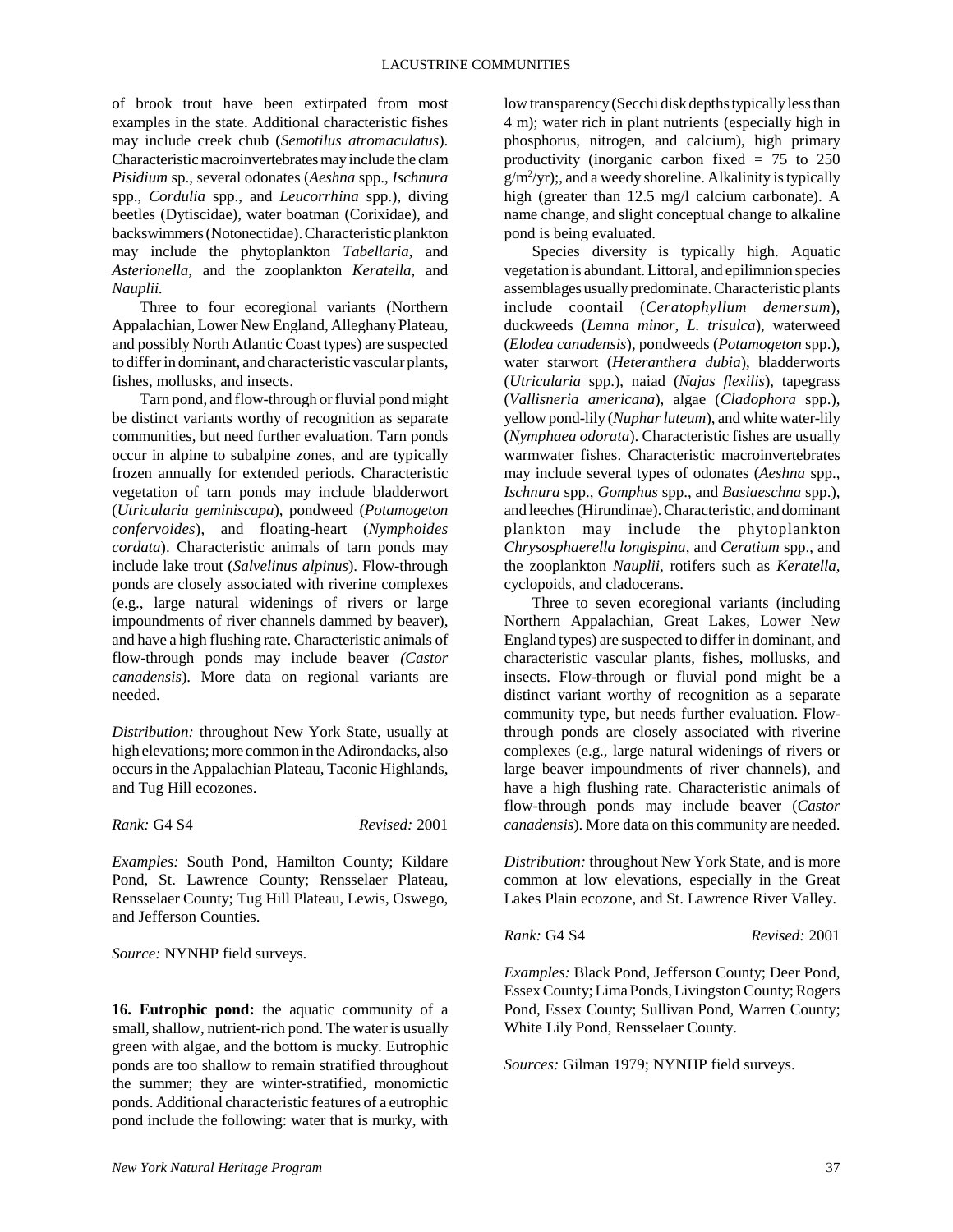of brook trout have been extirpated from most examples in the state. Additional characteristic fishes may include creek chub (*Semotilus atromaculatus*). Characteristic macroinvertebrates may include the clam *Pisidium* sp., several odonates (*Aeshna* spp., *Ischnura* spp., *Cordulia* spp., and *Leucorrhina* spp.), diving beetles (Dytiscidae), water boatman (Corixidae), and backswimmers (Notonectidae). Characteristic plankton may include the phytoplankton *Tabellaria*, and *Asterionella*, and the zooplankton *Keratella*, and *Nauplii.* 

Three to four ecoregional variants (Northern Appalachian, Lower New England, Alleghany Plateau, and possibly North Atlantic Coast types) are suspected to differ in dominant, and characteristic vascular plants, fishes, mollusks, and insects.

Tarn pond, and flow-through or fluvial pond might be distinct variants worthy of recognition as separate communities, but need further evaluation. Tarn ponds occur in alpine to subalpine zones, and are typically frozen annually for extended periods. Characteristic vegetation of tarn ponds may include bladderwort (*Utricularia geminiscapa*), pondweed (*Potamogeton confervoides*), and floating-heart (*Nymphoides cordata*). Characteristic animals of tarn ponds may include lake trout (*Salvelinus alpinus*). Flow-through ponds are closely associated with riverine complexes (e.g., large natural widenings of rivers or large impoundments of river channels dammed by beaver), and have a high flushing rate. Characteristic animals of flow-through ponds may include beaver *(Castor canadensis*). More data on regional variants are needed.

*Distribution:* throughout New York State, usually at high elevations; more common in the Adirondacks, also occurs in the Appalachian Plateau, Taconic Highlands, and Tug Hill ecozones.

*Rank:* G4 S4 *Revised:* 2001

*Examples:* South Pond, Hamilton County; Kildare Pond, St. Lawrence County; Rensselaer Plateau, Rensselaer County; Tug Hill Plateau, Lewis, Oswego, and Jefferson Counties.

*Source:* NYNHP field surveys.

**16. Eutrophic pond:** the aquatic community of a small, shallow, nutrient-rich pond. The water is usually green with algae, and the bottom is mucky. Eutrophic ponds are too shallow to remain stratified throughout the summer; they are winter-stratified, monomictic ponds. Additional characteristic features of a eutrophic pond include the following: water that is murky, with low transparency (Secchi disk depths typically less than 4 m); water rich in plant nutrients (especially high in phosphorus, nitrogen, and calcium), high primary productivity (inorganic carbon fixed  $= 75$  to 250  $g/m^2$ /yr);, and a weedy shoreline. Alkalinity is typically high (greater than 12.5 mg/l calcium carbonate). A name change, and slight conceptual change to alkaline pond is being evaluated.

Species diversity is typically high. Aquatic vegetation is abundant. Littoral, and epilimnion species assemblages usually predominate. Characteristic plants include coontail (*Ceratophyllum demersum*), duckweeds (*Lemna minor, L. trisulca*), waterweed (*Elodea canadensis*), pondweeds (*Potamogeton* spp.), water starwort (*Heteranthera dubia*), bladderworts (*Utricularia* spp.), naiad (*Najas flexilis*), tapegrass (*Vallisneria americana*), algae (*Cladophora* spp.), yellow pond-lily (*Nuphar luteum*), and white water-lily (*Nymphaea odorata*). Characteristic fishes are usually warmwater fishes. Characteristic macroinvertebrates may include several types of odonates (*Aeshna* spp., *Ischnura* spp., *Gomphus* spp., and *Basiaeschna* spp.), and leeches (Hirundinae). Characteristic, and dominant plankton may include the phytoplankton *Chrysosphaerella longispina*, and *Ceratium* spp., and the zooplankton *Nauplii*, rotifers such as *Keratella,* cyclopoids, and cladocerans.

Three to seven ecoregional variants (including Northern Appalachian, Great Lakes, Lower New England types) are suspected to differ in dominant, and characteristic vascular plants, fishes, mollusks, and insects. Flow-through or fluvial pond might be a distinct variant worthy of recognition as a separate community type, but needs further evaluation. Flowthrough ponds are closely associated with riverine complexes (e.g., large natural widenings of rivers or large beaver impoundments of river channels), and have a high flushing rate. Characteristic animals of flow-through ponds may include beaver (*Castor canadensis*). More data on this community are needed.

*Distribution:* throughout New York State, and is more common at low elevations, especially in the Great Lakes Plain ecozone, and St. Lawrence River Valley.

*Rank:* G4 S4 *Revised:* 2001

*Examples:* Black Pond, Jefferson County; Deer Pond, Essex County; Lima Ponds, Livingston County; Rogers Pond, Essex County; Sullivan Pond, Warren County; White Lily Pond, Rensselaer County.

*Sources:* Gilman 1979; NYNHP field surveys.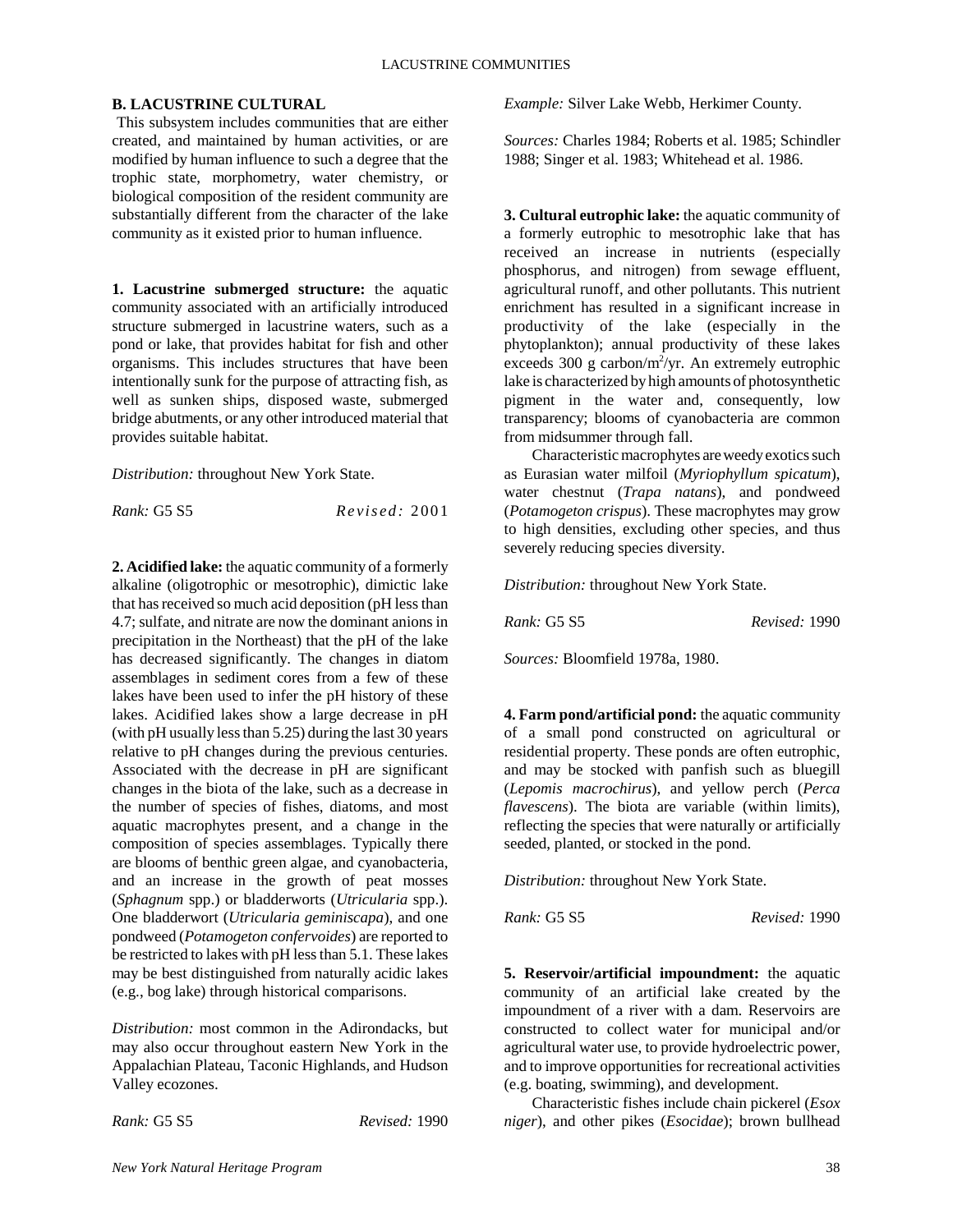## **B. LACUSTRINE CULTURAL**

 This subsystem includes communities that are either created, and maintained by human activities, or are modified by human influence to such a degree that the trophic state, morphometry, water chemistry, or biological composition of the resident community are substantially different from the character of the lake community as it existed prior to human influence.

**1. Lacustrine submerged structure:** the aquatic community associated with an artificially introduced structure submerged in lacustrine waters, such as a pond or lake, that provides habitat for fish and other organisms. This includes structures that have been intentionally sunk for the purpose of attracting fish, as well as sunken ships, disposed waste, submerged bridge abutments, or any other introduced material that provides suitable habitat.

*Distribution:* throughout New York State.

*Rank:* G5 S5 *Revised:* 2001

**2. Acidified lake:** the aquatic community of a formerly alkaline (oligotrophic or mesotrophic), dimictic lake that has received so much acid deposition (pH less than 4.7; sulfate, and nitrate are now the dominant anions in precipitation in the Northeast) that the pH of the lake has decreased significantly. The changes in diatom assemblages in sediment cores from a few of these lakes have been used to infer the pH history of these lakes. Acidified lakes show a large decrease in pH (with pH usually less than 5.25) during the last 30 years relative to pH changes during the previous centuries. Associated with the decrease in pH are significant changes in the biota of the lake, such as a decrease in the number of species of fishes, diatoms, and most aquatic macrophytes present, and a change in the composition of species assemblages. Typically there are blooms of benthic green algae, and cyanobacteria, and an increase in the growth of peat mosses (*Sphagnum* spp.) or bladderworts (*Utricularia* spp.). One bladderwort (*Utricularia geminiscapa*), and one pondweed (*Potamogeton confervoides*) are reported to be restricted to lakes with pH less than 5.1. These lakes may be best distinguished from naturally acidic lakes (e.g., bog lake) through historical comparisons.

*Distribution:* most common in the Adirondacks, but may also occur throughout eastern New York in the Appalachian Plateau, Taconic Highlands, and Hudson Valley ecozones.

*Rank:* G5 S5 *Revised:* 1990

*Example:* Silver Lake Webb, Herkimer County.

*Sources:* Charles 1984; Roberts et al. 1985; Schindler 1988; Singer et al. 1983; Whitehead et al. 1986.

**3. Cultural eutrophic lake:** the aquatic community of a formerly eutrophic to mesotrophic lake that has received an increase in nutrients (especially phosphorus, and nitrogen) from sewage effluent, agricultural runoff, and other pollutants. This nutrient enrichment has resulted in a significant increase in productivity of the lake (especially in the phytoplankton); annual productivity of these lakes exceeds 300 g carbon/m<sup>2</sup>/yr. An extremely eutrophic lake is characterized by high amounts of photosynthetic pigment in the water and, consequently, low transparency; blooms of cyanobacteria are common from midsummer through fall.

Characteristic macrophytes are weedy exotics such as Eurasian water milfoil (*Myriophyllum spicatum*), water chestnut (*Trapa natans*), and pondweed (*Potamogeton crispus*). These macrophytes may grow to high densities, excluding other species, and thus severely reducing species diversity.

*Distribution:* throughout New York State.

*Rank:* G5 S5 *Revised:* 1990

*Sources:* Bloomfield 1978a, 1980.

**4. Farm pond/artificial pond:** the aquatic community of a small pond constructed on agricultural or residential property. These ponds are often eutrophic, and may be stocked with panfish such as bluegill (*Lepomis macrochirus*), and yellow perch (*Perca flavescens*). The biota are variable (within limits), reflecting the species that were naturally or artificially seeded, planted, or stocked in the pond.

*Distribution:* throughout New York State.

*Rank:* G5 S5 *Revised:* 1990

**5. Reservoir/artificial impoundment:** the aquatic community of an artificial lake created by the impoundment of a river with a dam. Reservoirs are constructed to collect water for municipal and/or agricultural water use, to provide hydroelectric power, and to improve opportunities for recreational activities (e.g. boating, swimming), and development.

Characteristic fishes include chain pickerel (*Esox niger*), and other pikes (*Esocidae*); brown bullhead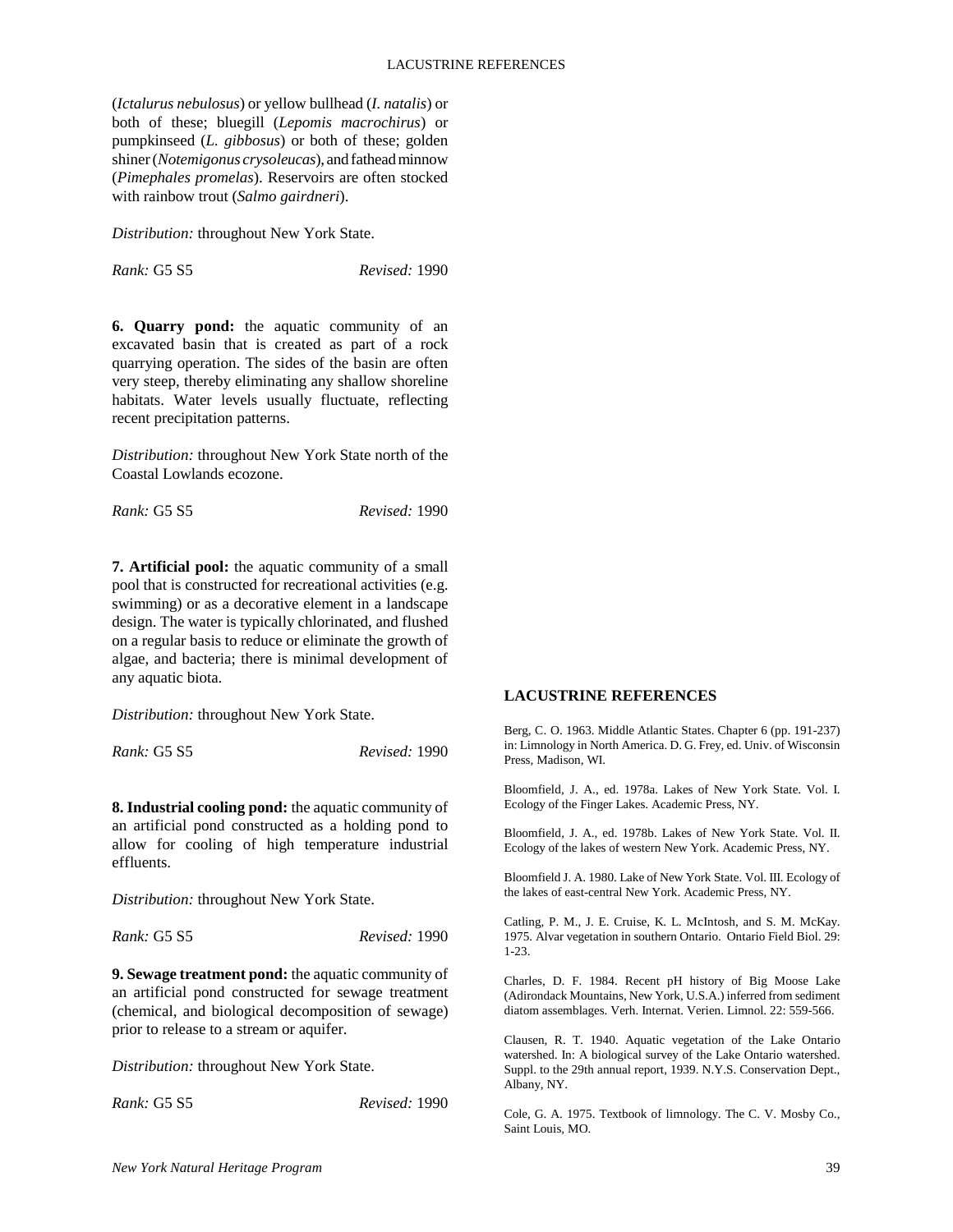(*Ictalurus nebulosus*) or yellow bullhead (*I. natalis*) or both of these; bluegill (*Lepomis macrochirus*) or pumpkinseed (*L. gibbosus*) or both of these; golden shiner (*Notemigonus crysoleucas*), and fathead minnow (*Pimephales promelas*). Reservoirs are often stocked with rainbow trout (*Salmo gairdneri*).

*Distribution:* throughout New York State.

*Rank:* G5 S5 *Revised:* 1990

**6. Quarry pond:** the aquatic community of an excavated basin that is created as part of a rock quarrying operation. The sides of the basin are often very steep, thereby eliminating any shallow shoreline habitats. Water levels usually fluctuate, reflecting recent precipitation patterns.

*Distribution:* throughout New York State north of the Coastal Lowlands ecozone.

*Rank:* G5 S5 *Revised:* 1990

**7. Artificial pool:** the aquatic community of a small pool that is constructed for recreational activities (e.g. swimming) or as a decorative element in a landscape design. The water is typically chlorinated, and flushed on a regular basis to reduce or eliminate the growth of algae, and bacteria; there is minimal development of any aquatic biota.

*Distribution:* throughout New York State.

*Rank:* G5 S5 *Revised:* 1990

**8. Industrial cooling pond:** the aquatic community of an artificial pond constructed as a holding pond to allow for cooling of high temperature industrial effluents.

*Distribution:* throughout New York State.

*Rank:* G5 S5 *Revised:* 1990

**9. Sewage treatment pond:** the aquatic community of an artificial pond constructed for sewage treatment (chemical, and biological decomposition of sewage) prior to release to a stream or aquifer.

*Distribution:* throughout New York State.

*Rank:* G5 S5 *Revised:* 1990

#### **LACUSTRINE REFERENCES**

Berg, C. O. 1963. Middle Atlantic States. Chapter 6 (pp. 191-237) in: Limnology in North America. D. G. Frey, ed. Univ. of Wisconsin Press, Madison, WI.

Bloomfield, J. A., ed. 1978a. Lakes of New York State. Vol. I. Ecology of the Finger Lakes. Academic Press, NY.

Bloomfield, J. A., ed. 1978b. Lakes of New York State. Vol. II. Ecology of the lakes of western New York. Academic Press, NY.

Bloomfield J. A. 1980. Lake of New York State. Vol. III. Ecology of the lakes of east-central New York. Academic Press, NY.

Catling, P. M., J. E. Cruise, K. L. McIntosh, and S. M. McKay. 1975. Alvar vegetation in southern Ontario. Ontario Field Biol. 29: 1-23.

Charles, D. F. 1984. Recent pH history of Big Moose Lake (Adirondack Mountains, New York, U.S.A.) inferred from sediment diatom assemblages. Verh. Internat. Verien. Limnol. 22: 559-566.

Clausen, R. T. 1940. Aquatic vegetation of the Lake Ontario watershed. In: A biological survey of the Lake Ontario watershed. Suppl. to the 29th annual report, 1939. N.Y.S. Conservation Dept., Albany, NY.

Cole, G. A. 1975. Textbook of limnology. The C. V. Mosby Co., Saint Louis, MO.